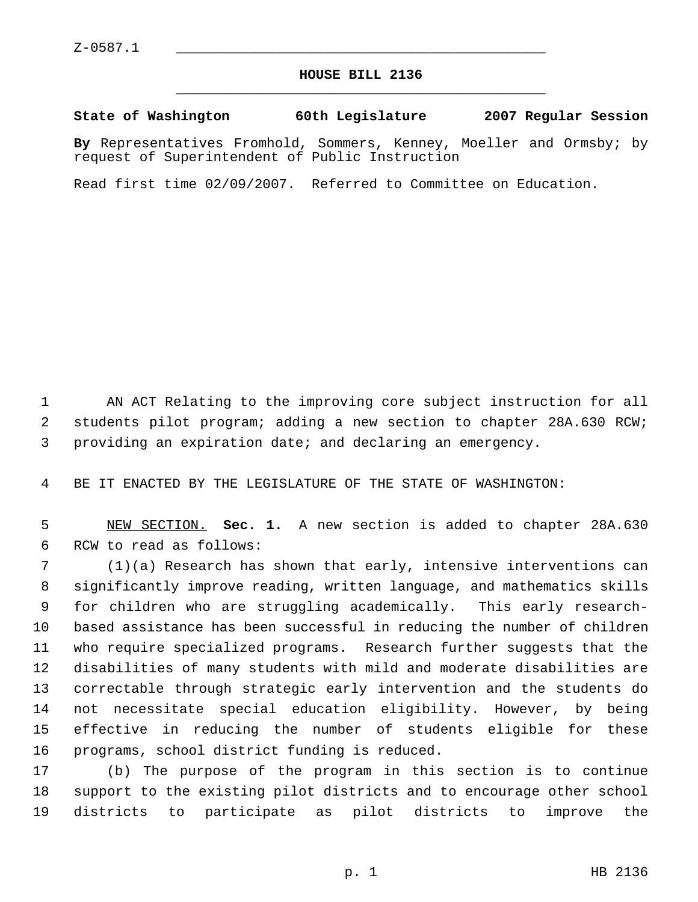## **HOUSE BILL 2136** \_\_\_\_\_\_\_\_\_\_\_\_\_\_\_\_\_\_\_\_\_\_\_\_\_\_\_\_\_\_\_\_\_\_\_\_\_\_\_\_\_\_\_\_\_

**State of Washington 60th Legislature 2007 Regular Session**

**By** Representatives Fromhold, Sommers, Kenney, Moeller and Ormsby; by request of Superintendent of Public Instruction

Read first time 02/09/2007. Referred to Committee on Education.

 AN ACT Relating to the improving core subject instruction for all students pilot program; adding a new section to chapter 28A.630 RCW; providing an expiration date; and declaring an emergency.

BE IT ENACTED BY THE LEGISLATURE OF THE STATE OF WASHINGTON:

 NEW SECTION. **Sec. 1.** A new section is added to chapter 28A.630 RCW to read as follows:

 (1)(a) Research has shown that early, intensive interventions can significantly improve reading, written language, and mathematics skills for children who are struggling academically. This early research- based assistance has been successful in reducing the number of children who require specialized programs. Research further suggests that the disabilities of many students with mild and moderate disabilities are correctable through strategic early intervention and the students do not necessitate special education eligibility. However, by being effective in reducing the number of students eligible for these programs, school district funding is reduced.

 (b) The purpose of the program in this section is to continue support to the existing pilot districts and to encourage other school districts to participate as pilot districts to improve the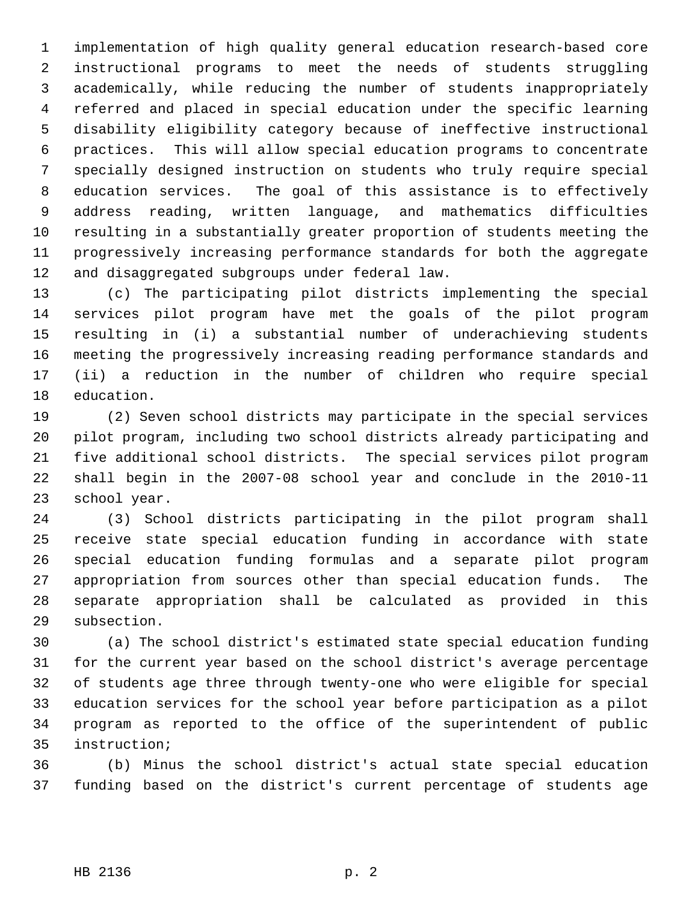implementation of high quality general education research-based core instructional programs to meet the needs of students struggling academically, while reducing the number of students inappropriately referred and placed in special education under the specific learning disability eligibility category because of ineffective instructional practices. This will allow special education programs to concentrate specially designed instruction on students who truly require special education services. The goal of this assistance is to effectively address reading, written language, and mathematics difficulties resulting in a substantially greater proportion of students meeting the progressively increasing performance standards for both the aggregate and disaggregated subgroups under federal law.

 (c) The participating pilot districts implementing the special services pilot program have met the goals of the pilot program resulting in (i) a substantial number of underachieving students meeting the progressively increasing reading performance standards and (ii) a reduction in the number of children who require special education.

 (2) Seven school districts may participate in the special services pilot program, including two school districts already participating and five additional school districts. The special services pilot program shall begin in the 2007-08 school year and conclude in the 2010-11 school year.

 (3) School districts participating in the pilot program shall receive state special education funding in accordance with state special education funding formulas and a separate pilot program appropriation from sources other than special education funds. The separate appropriation shall be calculated as provided in this subsection.

 (a) The school district's estimated state special education funding for the current year based on the school district's average percentage of students age three through twenty-one who were eligible for special education services for the school year before participation as a pilot program as reported to the office of the superintendent of public instruction;

 (b) Minus the school district's actual state special education funding based on the district's current percentage of students age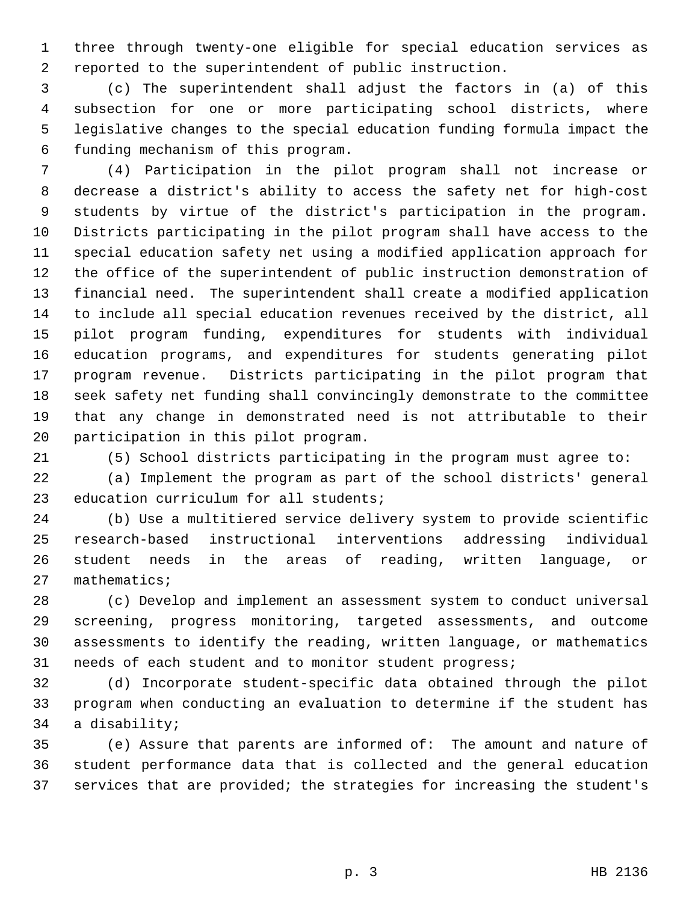three through twenty-one eligible for special education services as reported to the superintendent of public instruction.

 (c) The superintendent shall adjust the factors in (a) of this subsection for one or more participating school districts, where legislative changes to the special education funding formula impact the funding mechanism of this program.

 (4) Participation in the pilot program shall not increase or decrease a district's ability to access the safety net for high-cost students by virtue of the district's participation in the program. Districts participating in the pilot program shall have access to the special education safety net using a modified application approach for the office of the superintendent of public instruction demonstration of financial need. The superintendent shall create a modified application to include all special education revenues received by the district, all pilot program funding, expenditures for students with individual education programs, and expenditures for students generating pilot program revenue. Districts participating in the pilot program that seek safety net funding shall convincingly demonstrate to the committee that any change in demonstrated need is not attributable to their participation in this pilot program.

(5) School districts participating in the program must agree to:

 (a) Implement the program as part of the school districts' general education curriculum for all students;

 (b) Use a multitiered service delivery system to provide scientific research-based instructional interventions addressing individual student needs in the areas of reading, written language, or mathematics;

 (c) Develop and implement an assessment system to conduct universal screening, progress monitoring, targeted assessments, and outcome assessments to identify the reading, written language, or mathematics needs of each student and to monitor student progress;

 (d) Incorporate student-specific data obtained through the pilot program when conducting an evaluation to determine if the student has a disability;

 (e) Assure that parents are informed of: The amount and nature of student performance data that is collected and the general education services that are provided; the strategies for increasing the student's